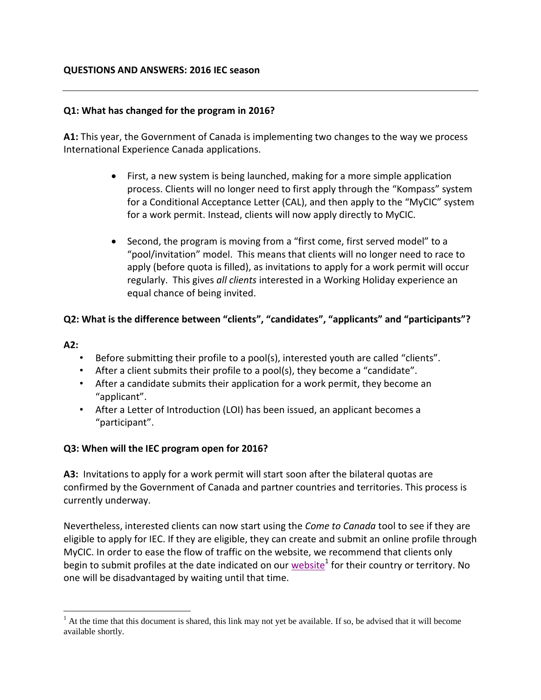### **QUESTIONS AND ANSWERS: 2016 IEC season**

### **Q1: What has changed for the program in 2016?**

**A1:** This year, the Government of Canada is implementing two changes to the way we process International Experience Canada applications.

- First, a new system is being launched, making for a more simple application process. Clients will no longer need to first apply through the "Kompass" system for a Conditional Acceptance Letter (CAL), and then apply to the "MyCIC" system for a work permit. Instead, clients will now apply directly to MyCIC.
- Second, the program is moving from a "first come, first served model" to a "pool/invitation" model. This means that clients will no longer need to race to apply (before quota is filled), as invitations to apply for a work permit will occur regularly. This gives *all clients* interested in a Working Holiday experience an equal chance of being invited.

### **Q2: What is the difference between "clients", "candidates", "applicants" and "participants"?**

#### **A2:**

 $\overline{a}$ 

- Before submitting their profile to a pool(s), interested youth are called "clients".
- After a client submits their profile to a pool(s), they become a "candidate".
- After a candidate submits their application for a work permit, they become an "applicant".
- After a Letter of Introduction (LOI) has been issued, an applicant becomes a "participant".

### **Q3: When will the IEC program open for 2016?**

**A3:** Invitations to apply for a work permit will start soon after the bilateral quotas are confirmed by the Government of Canada and partner countries and territories. This process is currently underway.

Nevertheless, interested clients can now start using the *Come to Canada* tool to see if they are eligible to apply for IEC. If they are eligible, they can create and submit an online profile through MyCIC. In order to ease the flow of traffic on the website, we recommend that clients only begin to submit profiles at the date indicated on our <u>website</u><sup>1</sup> for their country or territory. No one will be disadvantaged by waiting until that time.

 $<sup>1</sup>$  At the time that this document is shared, this link may not yet be available. If so, be advised that it will become</sup> available shortly.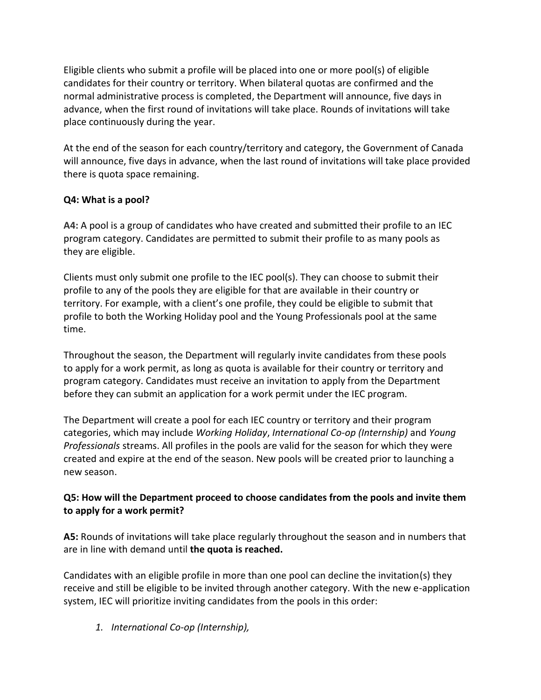Eligible clients who submit a profile will be placed into one or more pool(s) of eligible candidates for their country or territory. When bilateral quotas are confirmed and the normal administrative process is completed, the Department will announce, five days in advance, when the first round of invitations will take place. Rounds of invitations will take place continuously during the year.

At the end of the season for each country/territory and category, the Government of Canada will announce, five days in advance, when the last round of invitations will take place provided there is quota space remaining.

# **Q4: What is a pool?**

**A4:** A pool is a group of candidates who have created and submitted their profile to an IEC program category. Candidates are permitted to submit their profile to as many pools as they are eligible.

Clients must only submit one profile to the IEC pool(s). They can choose to submit their profile to any of the pools they are eligible for that are available in their country or territory. For example, with a client's one profile, they could be eligible to submit that profile to both the Working Holiday pool and the Young Professionals pool at the same time.

Throughout the season, the Department will regularly invite candidates from these pools to apply for a work permit, as long as quota is available for their country or territory and program category. Candidates must receive an invitation to apply from the Department before they can submit an application for a work permit under the IEC program.

The Department will create a pool for each IEC country or territory and their program categories, which may include *Working Holiday*, *International Co-op (Internship)* and *Young Professionals* streams. All profiles in the pools are valid for the season for which they were created and expire at the end of the season. New pools will be created prior to launching a new season.

# **Q5: How will the Department proceed to choose candidates from the pools and invite them to apply for a work permit?**

**A5:** Rounds of invitations will take place regularly throughout the season and in numbers that are in line with demand until **the quota is reached.** 

Candidates with an eligible profile in more than one pool can decline the invitation(s) they receive and still be eligible to be invited through another category. With the new e-application system, IEC will prioritize inviting candidates from the pools in this order:

*1. International Co-op (Internship),*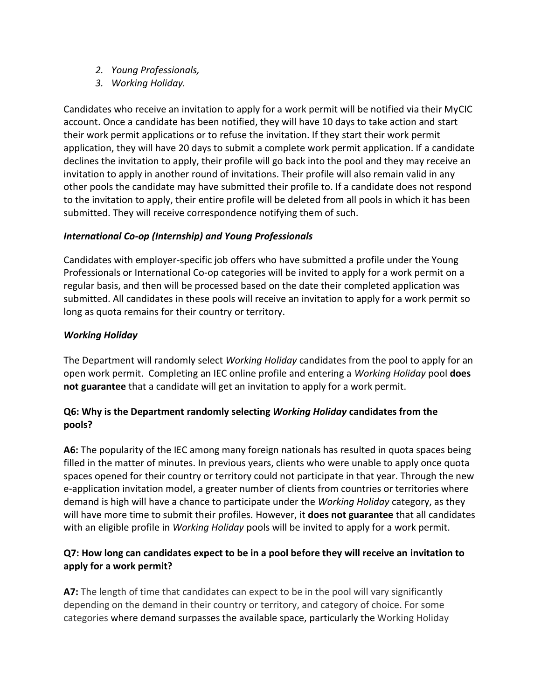- *2. Young Professionals,*
- *3. Working Holiday.*

Candidates who receive an invitation to apply for a work permit will be notified via their MyCIC account. Once a candidate has been notified, they will have 10 days to take action and start their work permit applications or to refuse the invitation. If they start their work permit application, they will have 20 days to submit a complete work permit application. If a candidate declines the invitation to apply, their profile will go back into the pool and they may receive an invitation to apply in another round of invitations. Their profile will also remain valid in any other pools the candidate may have submitted their profile to. If a candidate does not respond to the invitation to apply, their entire profile will be deleted from all pools in which it has been submitted. They will receive correspondence notifying them of such.

### *International Co-op (Internship) and Young Professionals*

Candidates with employer-specific job offers who have submitted a profile under the Young Professionals or International Co-op categories will be invited to apply for a work permit on a regular basis, and then will be processed based on the date their completed application was submitted. All candidates in these pools will receive an invitation to apply for a work permit so long as quota remains for their country or territory.

# *Working Holiday*

The Department will randomly select *Working Holiday* candidates from the pool to apply for an open work permit. Completing an IEC online profile and entering a *Working Holiday* pool **does not guarantee** that a candidate will get an invitation to apply for a work permit.

# **Q6: Why is the Department randomly selecting** *Working Holiday* **candidates from the pools?**

**A6:** The popularity of the IEC among many foreign nationals has resulted in quota spaces being filled in the matter of minutes. In previous years, clients who were unable to apply once quota spaces opened for their country or territory could not participate in that year. Through the new e-application invitation model, a greater number of clients from countries or territories where demand is high will have a chance to participate under the *Working Holiday* category, as they will have more time to submit their profiles. However, it **does not guarantee** that all candidates with an eligible profile in *Working Holiday* pools will be invited to apply for a work permit.

# **Q7: How long can candidates expect to be in a pool before they will receive an invitation to apply for a work permit?**

**A7:** The length of time that candidates can expect to be in the pool will vary significantly depending on the demand in their country or territory, and category of choice. For some categories where demand surpasses the available space, particularly the Working Holiday